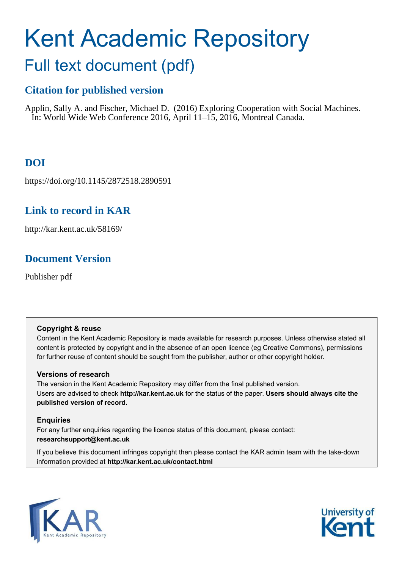# Kent Academic Repository

## Full text document (pdf)

## **Citation for published version**

Applin, Sally A. and Fischer, Michael D. (2016) Exploring Cooperation with Social Machines. In: World Wide Web Conference 2016, April 11–15, 2016, Montreal Canada.

## **DOI**

https://doi.org/10.1145/2872518.2890591

### **Link to record in KAR**

http://kar.kent.ac.uk/58169/

## **Document Version**

Publisher pdf

#### **Copyright & reuse**

Content in the Kent Academic Repository is made available for research purposes. Unless otherwise stated all content is protected by copyright and in the absence of an open licence (eg Creative Commons), permissions for further reuse of content should be sought from the publisher, author or other copyright holder.

#### **Versions of research**

The version in the Kent Academic Repository may differ from the final published version. Users are advised to check **http://kar.kent.ac.uk** for the status of the paper. **Users should always cite the published version of record.**

#### **Enquiries**

For any further enquiries regarding the licence status of this document, please contact: **researchsupport@kent.ac.uk**

If you believe this document infringes copyright then please contact the KAR admin team with the take-down information provided at **http://kar.kent.ac.uk/contact.html**



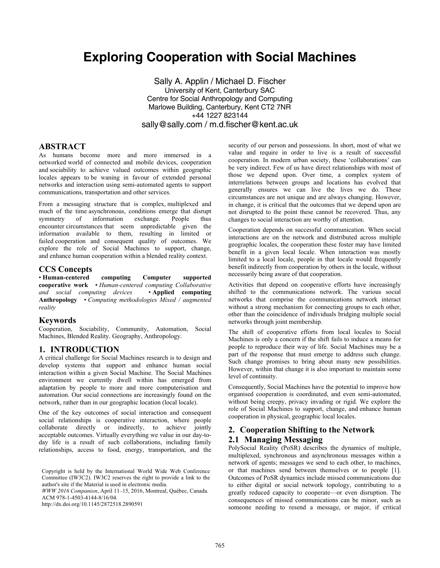## **Exploring Cooperation with Social Machines**

Sally A. Applin / Michael D. Fischer University of Kent, Canterbury SAC Centre for Social Anthropology and Computing Marlowe Building, Canterbury, Kent CT2 7NR +44 1227 823144 sally@sally.com / m.d.fischer@kent.ac.uk

#### **ABSTRACT**

As humans become more and more immersed in a networked world of connected and mobile devices, cooperation and sociability to achieve valued outcomes within geographic locales appears to be waning in favour of extended personal networks and interaction using semi-automated agents to support communications, transportation and other services.

From a messaging structure that is complex, multiplexed and much of the time asynchronous, conditions emerge that disrupt symmetry of information exchange. People thus encounter circumstances that seem unpredictable given the information available to them, resulting in limited or failed cooperation and consequent quality of outcomes. We explore the role of Social Machines to support, change, and enhance human cooperation within a blended reality context.

#### **CCS Concepts**

ï **Human-centered computing Computer supported cooperative work •** *Human-centered computing Collaborative and social computing devices* **• <b>Applied computing** *and social computing devices* ï **Applied computing Anthropology** ï *Computing methodologies Mixed / augmented reality*

#### **Keywords**

Cooperation, Sociability, Community, Automation, Social Machines, Blended Reality. Geography, Anthropology.

#### **1. INTRODUCTION**

A critical challenge for Social Machines research is to design and develop systems that support and enhance human social interaction within a given Social Machine. The Social Machines environment we currently dwell within has emerged from adaptation by people to more and more computerisation and automation. Our social connections are increasingly found on the network, rather than in our geographic location (local locale).

One of the key outcomes of social interaction and consequent social relationships is cooperative interaction, where people collaborate directly or indirectly, to achieve jointly acceptable outcomes. Virtually everything we value in our day-today life is a result of such collaborations, including family relationships, access to food, energy, transportation, and the

Copyright is held by the International World Wide Web Conference Committee (IW3C2). IW3C2 reserves the right to provide a link to the author's site if the Material is used in electronic media.

*WWW 2016 Companion*, April 11–15, 2016, Montreal, Québec, Canada. ACM 978-1-4503-4144-8/16/04.

http://dx.doi.org/10.1145/2872518.2890591

security of our person and possessions. In short, most of what we value and require in order to live is a result of successful cooperation. In modern urban society, these 'collaborations' can be very indirect. Few of us have direct relationships with most of those we depend upon. Over time, a complex system of interrelations between groups and locations has evolved that generally ensures we can live the lives we do. These circumstances are not unique and are always changing. However, in change, it is critical that the outcomes that we depend upon are not disrupted to the point these cannot be recovered. Thus, any changes to social interaction are worthy of attention.

Cooperation depends on successful communication. When social interactions are on the network and distributed across multiple geographic locales, the cooperation these foster may have limited benefit in a given local locale. When interaction was mostly limited to a local locale, people in that locale would frequently benefit indirectly from cooperation by others in the locale, without necessarily being aware of that cooperation.

Activities that depend on cooperative efforts have increasingly shifted to the communications network. The various social networks that comprise the communications network interact without a strong mechanism for connecting groups to each other, other than the coincidence of individuals bridging multiple social networks through joint membership.

The shift of cooperative efforts from local locales to Social Machines is only a concern if the shift fails to induce a means for people to reproduce their way of life. Social Machines may be a part of the response that must emerge to address such change. Such change promises to bring about many new possibilities. However, within that change it is also important to maintain some level of continuity.

Consequently, Social Machines have the potential to improve how organised cooperation is coordinated, and even semi-automated, without being creepy, privacy invading or rigid. We explore the role of Social Machines to support, change, and enhance human cooperation in physical, geographic local locales.

#### **2. Cooperation Shifting to the Network 2.1 Managing Messaging**

PolySocial Reality (PoSR) describes the dynamics of multiple, multiplexed, synchronous and asynchronous messages within a network of agents; messages we send to each other, to machines, or that machines send between themselves or to people [1]. Outcomes of PoSR dynamics include missed communications due to either digital or social network topology, contributing to a greatly reduced capacity to cooperate—or even disruption. The consequences of missed communications can be minor, such as someone needing to resend a message, or major, if critical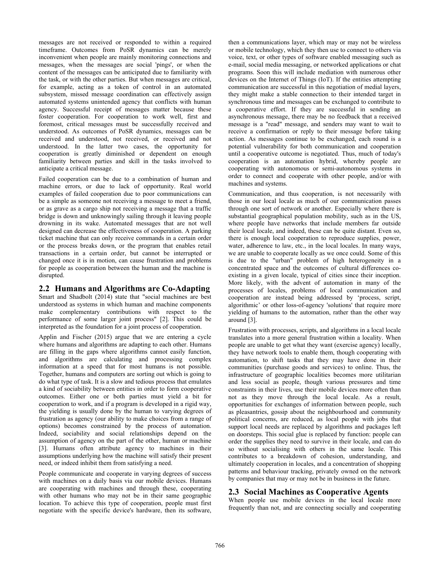messages are not received or responded to within a required timeframe. Outcomes from PoSR dynamics can be merely inconvenient when people are mainly monitoring connections and messages, when the messages are social 'pings', or when the content of the messages can be anticipated due to familiarity with the task, or with the other parties. But when messages are critical, for example, acting as a token of control in an automated subsystem, missed message coordination can effectively assign automated systems unintended agency that conflicts with human agency. Successful receipt of messages matter because these foster cooperation. For cooperation to work well, first and foremost, critical messages must be successfully received and understood. As outcomes of PoSR dynamics, messages can be received and understood, not received, or received and not understood. In the latter two cases, the opportunity for cooperation is greatly diminished or dependent on enough familiarity between parties and skill in the tasks involved to anticipate a critical message.

Failed cooperation can be due to a combination of human and machine errors, or due to lack of opportunity. Real world examples of failed cooperation due to poor communications can be a simple as someone not receiving a message to meet a friend, or as grave as a cargo ship not receiving a message that a traffic bridge is down and unknowingly sailing through it leaving people drowning in its wake. Automated messages that are not well designed can decrease the effectiveness of cooperation. A parking ticket machine that can only receive commands in a certain order or the process breaks down, or the program that enables retail transactions in a certain order, but cannot be interrupted or changed once it is in motion, can cause frustration and problems for people as cooperation between the human and the machine is disrupted.

#### **2.2 Humans and Algorithms are Co-Adapting**

Smart and Shadbolt (2014) state that "social machines are best understood as systems in which human and machine components make complementary contributions with respect to the performance of some larger joint process" [2]. This could be interpreted as the foundation for a joint process of cooperation.

Applin and Fischer (2015) argue that we are entering a cycle where humans and algorithms are adapting to each other. Humans are filling in the gaps where algorithms cannot easily function, and algorithms are calculating and processing complex information at a speed that for most humans is not possible. Together, humans and computers are sorting out which is going to do what type of task. It is a slow and tedious process that emulates a kind of sociability between entities in order to form cooperative outcomes. Either one or both parties must yield a bit for cooperation to work, and if a program is developed in a rigid way, the yielding is usually done by the human to varying degrees of frustration as agency (our ability to make choices from a range of options) becomes constrained by the process of automation. Indeed, sociability and social relationships depend on the assumption of agency on the part of the other, human or machine [3]. Humans often attribute agency to machines in their assumptions underlying how the machine will satisfy their present need, or indeed inhibit them from satisfying a need.

People communicate and cooperate in varying degrees of success with machines on a daily basis via our mobile devices. Humans are cooperating with machines and through these, cooperating with other humans who may not be in their same geographic location. To achieve this type of cooperation, people must first negotiate with the specific device's hardware, then its software, then a communications layer, which may or may not be wireless or mobile technology, which they then use to connect to others via voice, text, or other types of software enabled messaging such as e-mail, social media messaging, or networked applications or chat programs. Soon this will include mediation with numerous other devices on the Internet of Things (IoT). If the entities attempting communication are successful in this negotiation of medial layers, they might make a stable connection to their intended target in synchronous time and messages can be exchanged to contribute to a cooperative effort. If they are successful in sending an asynchronous message, there may be no feedback that a received message is a "read" message, and senders may want to wait to receive a confirmation or reply to their message before taking action. As messages continue to be exchanged, each round is a potential vulnerability for both communication and cooperation until a cooperative outcome is negotiated. Thus, much of today's cooperation is an automation hybrid, whereby people are cooperating with autonomous or semi-autonomous systems in order to connect and cooperate with other people, and/or with machines and systems.

Communication, and thus cooperation, is not necessarily with those in our local locale as much of our communication passes through one sort of network or another. Especially where there is substantial geographical population mobility, such as in the US, where people have networks that include members far outside their local locale, and indeed, these can be quite distant. Even so, there is enough local cooperation to reproduce supplies, power, water, adherence to law, etc., in the local locales. In many ways, we are unable to cooperate locally as we once could. Some of this is due to the "urban" problem of high heterogeneity in a concentrated space and the outcomes of cultural differences coexisting in a given locale, typical of cities since their inception. More likely, with the advent of automation in many of the processes of locales, problems of local communication and cooperation are instead being addressed by 'process, script, algorithmic' or other loss-of-agency 'solutions' that require more yielding of humans to the automation, rather than the other way around [3].

Frustration with processes, scripts, and algorithms in a local locale translates into a more general frustration within a locality. When people are unable to get what they want (exercise agency) locally, they have network tools to enable them, though cooperating with automation, to shift tasks that they may have done in their communities (purchase goods and services) to online. Thus, the infrastructure of geographic localities becomes more utilitarian and less social as people, though various pressures and time constraints in their lives, use their mobile devices more often than not as they move through the local locale. As a result, opportunities for exchanges of information between people, such as pleasantries, gossip about the neighbourhood and community political concerns, are reduced, as local people with jobs that support local needs are replaced by algorithms and packages left on doorsteps. This social glue is replaced by function: people can order the supplies they need to survive in their locale, and can do so without socialising with others in the same locale. This contributes to a breakdown of cohesion, understanding, and ultimately cooperation in locales, and a concentration of shopping patterns and behaviour tracking, privately owned on the network by companies that may or may not be in business in the future.

#### **2.3 Social Machines as Cooperative Agents**

When people use mobile devices in the local locale more frequently than not, and are connecting socially and cooperating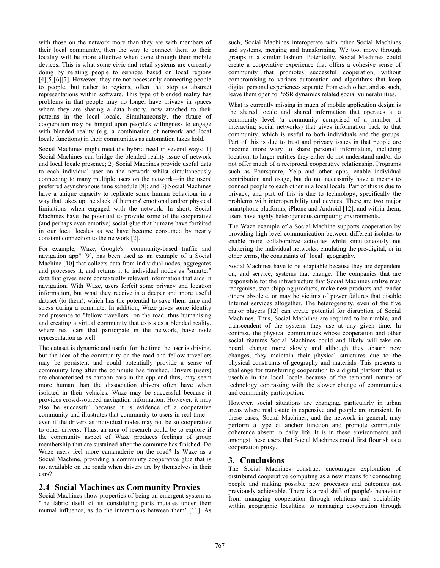with those on the network more than they are with members of their local community, then the way to connect them to their locality will be more effective when done through their mobile devices. This is what some civic and retail systems are currently doing by relating people to services based on local regions [4][5][6][7]. However, they are not necessarily connecting people to people, but rather to regions, often that stop as abstract representations within software. This type of blended reality has problems in that people may no longer have privacy in spaces where they are sharing a data history, now attached to their patterns in the local locale. Simultaneously, the future of cooperation may be hinged upon people's willingness to engage with blended reality (e.g. a combination of network and local locale functions) in their communities as automation takes hold.

Social Machines might meet the hybrid need in several ways: 1) Social Machines can bridge the blended reality issue of network and local locale presence; 2) Social Machines provide useful data to each individual user on the network whilst simultaneously connecting to many multiple users on the network—in the users' preferred asynchronous time schedule [8]; and 3) Social Machines have a unique capacity to replicate some human behaviour in a way that takes up the slack of humans' emotional and/or physical limitations when engaged with the network. In short, Social Machines have the potential to provide some of the cooperative (and perhaps even emotive) social glue that humans have forfeited in our local locales as we have become consumed by nearly constant connection to the network [2].

For example, Waze, Google's "community-based traffic and navigation app" [9], has been used as an example of a Social Machine [10] that collects data from individual nodes, aggregates and processes it, and returns it to individual nodes as "smarter" data that gives more contextually relevant information that aids in navigation. With Waze, users forfeit some privacy and location information, but what they receive is a deeper and more useful dataset (to them), which has the potential to save them time and stress during a commute. In addition, Waze gives some identity and presence to "fellow travellers" on the road, thus humanising and creating a virtual community that exists as a blended reality, where real cars that participate in the network, have node representation as well.

The dataset is dynamic and useful for the time the user is driving, but the idea of the community on the road and fellow travellers may be persistent and could potentially provide a sense of community long after the commute has finished. Drivers (users) are characterised as cartoon cars in the app and thus, may seem more human than the dissociation drivers often have when isolated in their vehicles. Waze may be successful because it provides crowd-sourced navigation information. However, it may also be successful because it is evidence of a cooperative community and illustrates that community to users in real time even if the drivers as individual nodes may not be so cooperative to other drivers. Thus, an area of research could be to explore if the community aspect of Waze produces feelings of group membership that are sustained after the commute has finished. Do Waze users feel more camaraderie on the road? Is Waze as a Social Machine, providing a community cooperative glue that is not available on the roads when drivers are by themselves in their cars?

#### **2.4 Social Machines as Community Proxies**

Social Machines show properties of being an emergent system as "the fabric itself of its constituting parts mutates under their mutual influence, as do the interactions between them' [11]. As such, Social Machines interoperate with other Social Machines and systems, merging and transforming. We too, move through groups in a similar fashion. Potentially, Social Machines could create a cooperative experience that offers a cohesive sense of community that promotes successful cooperation, without compromising to various automation and algorithms that keep digital personal experiences separate from each other, and as such, leave them open to PoSR dynamics related social vulnerabilities.

What is currently missing in much of mobile application design is the shared locale and shared information that operates at a community level (a community comprised of a number of interacting social networks) that gives information back to that community, which is useful to both individuals and the groups. Part of this is due to trust and privacy issues in that people are become more wary to share personal information, including location, to larger entities they either do not understand and/or do not offer much of a reciprocal cooperative relationship. Programs such as Foursquare, Yelp and other apps, enable individual contribution and usage, but do not necessarily have a means to connect people to each other in a local locale. Part of this is due to privacy, and part of this is due to technology, specifically the problems with interoperability and devices. There are two major smartphone platforms, iPhone and Android [12], and within them, users have highly heterogeneous computing environments.

The Waze example of a Social Machine supports cooperation by providing high-level communication between different isolates to enable more collaborative activities while simultaneously not cluttering the individual networks, emulating the pre-digital, or in other terms, the constraints of "local" geography.

Social Machines have to be adaptable because they are dependent on, and service, systems that change. The companies that are responsible for the infrastructure that Social Machines utilize may reorganise, stop shipping products, make new products and render others obsolete, or may be victims of power failures that disable Internet services altogether. The heterogeneity, even of the five major players [12] can create potential for disruption of Social Machines. Thus, Social Machines are required to be nimble, and transcendent of the systems they use at any given time. In contrast, the physical communities whose cooperation and other social features Social Machines could and likely will take on board, change more slowly and although they absorb new changes, they maintain their physical structures due to the physical constraints of geography and materials. This presents a challenge for transferring cooperation to a digital platform that is useable in the local locale because of the temporal nature of technology contrasting with the slower change of communities and community participation.

However, social situations are changing, particularly in urban areas where real estate is expensive and people are transient. In these cases, Social Machines, and the network in general, may perform a type of anchor function and promote community coherence absent in daily life. It is in these environments and amongst these users that Social Machines could first flourish as a cooperation proxy.

#### **3. Conclusions**

The Social Machines construct encourages exploration of distributed cooperative computing as a new means for connecting people and making possible new processes and outcomes not previously achievable. There is a real shift of people's behaviour from managing cooperation through relations and sociability within geographic localities, to managing cooperation through